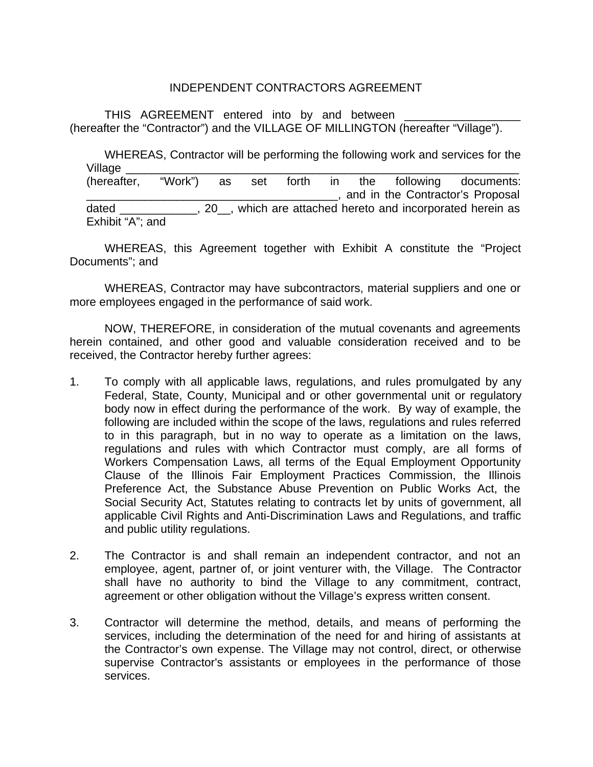## INDEPENDENT CONTRACTORS AGREEMENT

THIS AGREEMENT entered into by and between (hereafter the "Contractor") and the VILLAGE OF MILLINGTON (hereafter "Village").

WHEREAS, Contractor will be performing the following work and services for the Village \_\_\_\_\_\_\_\_\_\_\_\_\_\_\_\_\_\_\_\_\_\_\_\_\_\_\_\_\_\_\_\_\_\_\_\_\_\_\_\_\_\_\_\_\_\_\_\_\_\_\_\_\_\_\_\_\_\_\_\_\_ (hereafter, "Work") as set forth in the following documents: \_\_\_\_\_\_\_\_\_\_\_\_\_\_\_\_\_\_\_\_\_\_\_\_\_\_\_\_\_\_\_\_\_\_\_\_\_\_\_, and in the Contractor's Proposal dated all the settle of the settle of the date of the settle and incorporated herein as Exhibit "A"; and

WHEREAS, this Agreement together with Exhibit A constitute the "Project Documents"; and

WHEREAS, Contractor may have subcontractors, material suppliers and one or more employees engaged in the performance of said work.

NOW, THEREFORE, in consideration of the mutual covenants and agreements herein contained, and other good and valuable consideration received and to be received, the Contractor hereby further agrees:

- 1. To comply with all applicable laws, regulations, and rules promulgated by any Federal, State, County, Municipal and or other governmental unit or regulatory body now in effect during the performance of the work. By way of example, the following are included within the scope of the laws, regulations and rules referred to in this paragraph, but in no way to operate as a limitation on the laws, regulations and rules with which Contractor must comply, are all forms of Workers Compensation Laws, all terms of the Equal Employment Opportunity Clause of the Illinois Fair Employment Practices Commission, the Illinois Preference Act, the Substance Abuse Prevention on Public Works Act, the Social Security Act, Statutes relating to contracts let by units of government, all applicable Civil Rights and Anti-Discrimination Laws and Regulations, and traffic and public utility regulations.
- 2. The Contractor is and shall remain an independent contractor, and not an employee, agent, partner of, or joint venturer with, the Village. The Contractor shall have no authority to bind the Village to any commitment, contract, agreement or other obligation without the Village's express written consent.
- 3. Contractor will determine the method, details, and means of performing the services, including the determination of the need for and hiring of assistants at the Contractor's own expense. The Village may not control, direct, or otherwise supervise Contractor's assistants or employees in the performance of those services.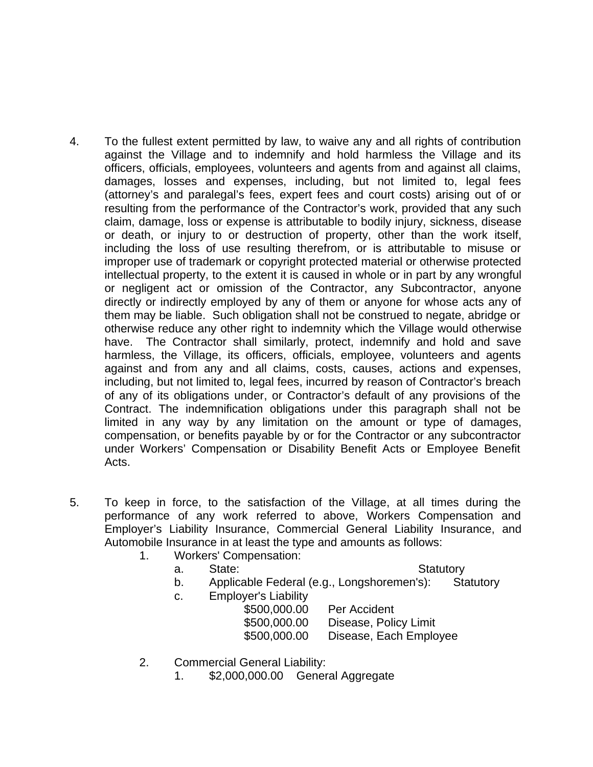- 4. To the fullest extent permitted by law, to waive any and all rights of contribution against the Village and to indemnify and hold harmless the Village and its officers, officials, employees, volunteers and agents from and against all claims, damages, losses and expenses, including, but not limited to, legal fees (attorney's and paralegal's fees, expert fees and court costs) arising out of or resulting from the performance of the Contractor's work, provided that any such claim, damage, loss or expense is attributable to bodily injury, sickness, disease or death, or injury to or destruction of property, other than the work itself, including the loss of use resulting therefrom, or is attributable to misuse or improper use of trademark or copyright protected material or otherwise protected intellectual property, to the extent it is caused in whole or in part by any wrongful or negligent act or omission of the Contractor, any Subcontractor, anyone directly or indirectly employed by any of them or anyone for whose acts any of them may be liable. Such obligation shall not be construed to negate, abridge or otherwise reduce any other right to indemnity which the Village would otherwise have. The Contractor shall similarly, protect, indemnify and hold and save harmless, the Village, its officers, officials, employee, volunteers and agents against and from any and all claims, costs, causes, actions and expenses, including, but not limited to, legal fees, incurred by reason of Contractor's breach of any of its obligations under, or Contractor's default of any provisions of the Contract. The indemnification obligations under this paragraph shall not be limited in any way by any limitation on the amount or type of damages, compensation, or benefits payable by or for the Contractor or any subcontractor under Workers' Compensation or Disability Benefit Acts or Employee Benefit Acts.
- 5. To keep in force, to the satisfaction of the Village, at all times during the performance of any work referred to above, Workers Compensation and Employer's Liability Insurance, Commercial General Liability Insurance, and Automobile Insurance in at least the type and amounts as follows:
	- 1. Workers' Compensation:

## a. State: Statutory

- b. Applicable Federal (e.g., Longshoremen's): Statutory
- c. Employer's Liability

| \$500,000.00 | Per Accident           |
|--------------|------------------------|
| \$500,000.00 | Disease, Policy Limit  |
| \$500,000.00 | Disease, Each Employee |

- 2. Commercial General Liability:
	- 1. \$2,000,000.00 General Aggregate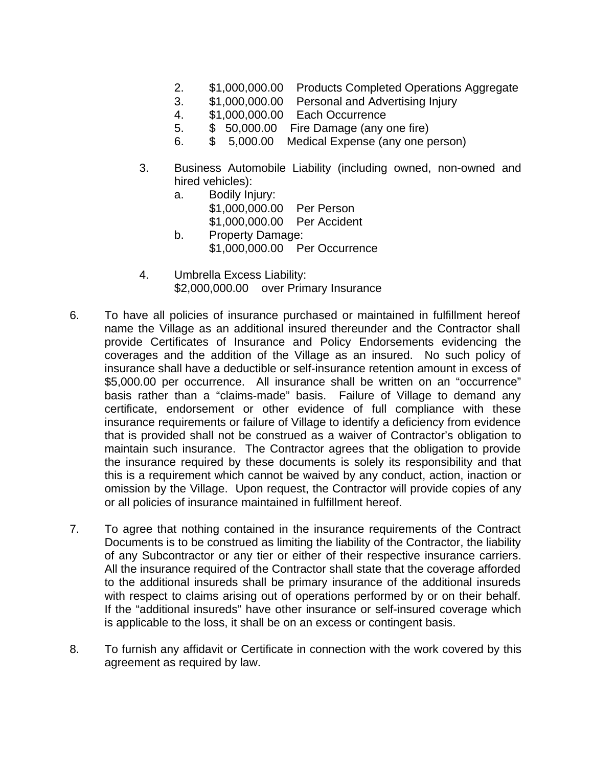- 2. \$1,000,000.00 Products Completed Operations Aggregate
- 3. \$1,000,000.00 Personal and Advertising Injury
- 4. \$1,000,000.00 Each Occurrence
- 5. \$ 50,000.00 Fire Damage (any one fire)
- 6. \$ 5,000.00 Medical Expense (any one person)
- 3. Business Automobile Liability (including owned, non-owned and hired vehicles):
	- a. Bodily Injury: \$1,000,000.00 Per Person \$1,000,000.00 Per Accident b. Property Damage: \$1,000,000.00 Per Occurrence
- 4. Umbrella Excess Liability: \$2,000,000.00 over Primary Insurance
- 6. To have all policies of insurance purchased or maintained in fulfillment hereof name the Village as an additional insured thereunder and the Contractor shall provide Certificates of Insurance and Policy Endorsements evidencing the coverages and the addition of the Village as an insured. No such policy of insurance shall have a deductible or self-insurance retention amount in excess of \$5,000.00 per occurrence. All insurance shall be written on an "occurrence" basis rather than a "claims-made" basis. Failure of Village to demand any certificate, endorsement or other evidence of full compliance with these insurance requirements or failure of Village to identify a deficiency from evidence that is provided shall not be construed as a waiver of Contractor's obligation to maintain such insurance. The Contractor agrees that the obligation to provide the insurance required by these documents is solely its responsibility and that this is a requirement which cannot be waived by any conduct, action, inaction or omission by the Village. Upon request, the Contractor will provide copies of any or all policies of insurance maintained in fulfillment hereof.
- 7. To agree that nothing contained in the insurance requirements of the Contract Documents is to be construed as limiting the liability of the Contractor, the liability of any Subcontractor or any tier or either of their respective insurance carriers. All the insurance required of the Contractor shall state that the coverage afforded to the additional insureds shall be primary insurance of the additional insureds with respect to claims arising out of operations performed by or on their behalf. If the "additional insureds" have other insurance or self-insured coverage which is applicable to the loss, it shall be on an excess or contingent basis.
- 8. To furnish any affidavit or Certificate in connection with the work covered by this agreement as required by law.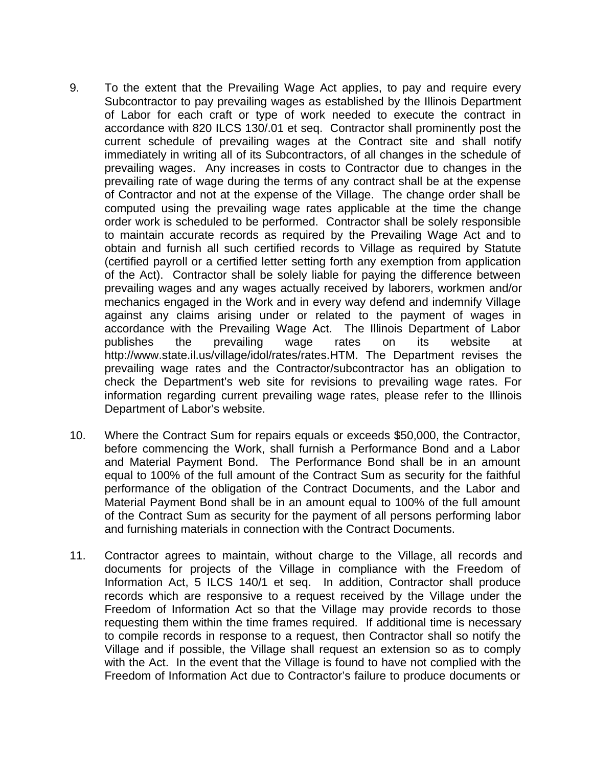- 9. To the extent that the Prevailing Wage Act applies, to pay and require every Subcontractor to pay prevailing wages as established by the Illinois Department of Labor for each craft or type of work needed to execute the contract in accordance with 820 ILCS 130/.01 et seq. Contractor shall prominently post the current schedule of prevailing wages at the Contract site and shall notify immediately in writing all of its Subcontractors, of all changes in the schedule of prevailing wages. Any increases in costs to Contractor due to changes in the prevailing rate of wage during the terms of any contract shall be at the expense of Contractor and not at the expense of the Village. The change order shall be computed using the prevailing wage rates applicable at the time the change order work is scheduled to be performed. Contractor shall be solely responsible to maintain accurate records as required by the Prevailing Wage Act and to obtain and furnish all such certified records to Village as required by Statute (certified payroll or a certified letter setting forth any exemption from application of the Act). Contractor shall be solely liable for paying the difference between prevailing wages and any wages actually received by laborers, workmen and/or mechanics engaged in the Work and in every way defend and indemnify Village against any claims arising under or related to the payment of wages in accordance with the Prevailing Wage Act. The Illinois Department of Labor publishes the prevailing wage rates on its website at http://www.state.il.us/village/idol/rates/rates.HTM. The Department revises the prevailing wage rates and the Contractor/subcontractor has an obligation to check the Department's web site for revisions to prevailing wage rates. For information regarding current prevailing wage rates, please refer to the Illinois Department of Labor's website.
- 10. Where the Contract Sum for repairs equals or exceeds \$50,000, the Contractor, before commencing the Work, shall furnish a Performance Bond and a Labor and Material Payment Bond. The Performance Bond shall be in an amount equal to 100% of the full amount of the Contract Sum as security for the faithful performance of the obligation of the Contract Documents, and the Labor and Material Payment Bond shall be in an amount equal to 100% of the full amount of the Contract Sum as security for the payment of all persons performing labor and furnishing materials in connection with the Contract Documents.
- 11. Contractor agrees to maintain, without charge to the Village, all records and documents for projects of the Village in compliance with the Freedom of Information Act, 5 ILCS 140/1 et seq. In addition, Contractor shall produce records which are responsive to a request received by the Village under the Freedom of Information Act so that the Village may provide records to those requesting them within the time frames required. If additional time is necessary to compile records in response to a request, then Contractor shall so notify the Village and if possible, the Village shall request an extension so as to comply with the Act. In the event that the Village is found to have not complied with the Freedom of Information Act due to Contractor's failure to produce documents or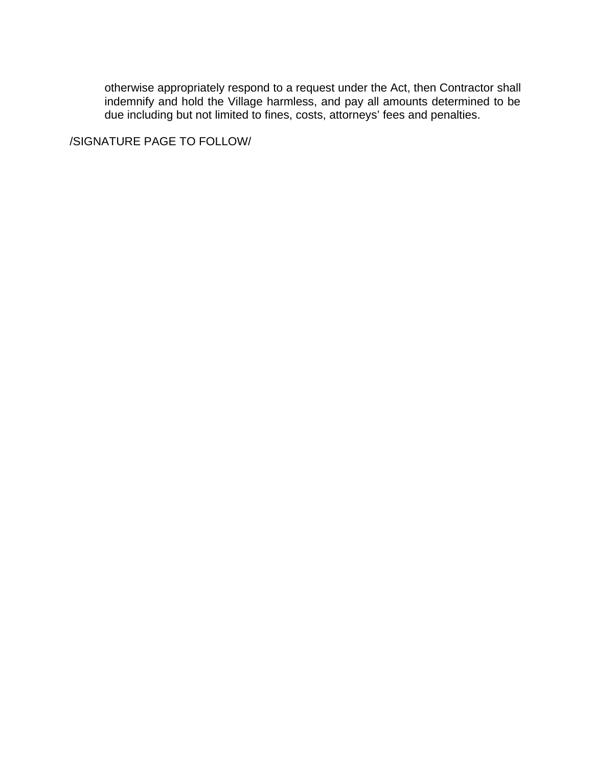otherwise appropriately respond to a request under the Act, then Contractor shall indemnify and hold the Village harmless, and pay all amounts determined to be due including but not limited to fines, costs, attorneys' fees and penalties.

/SIGNATURE PAGE TO FOLLOW/